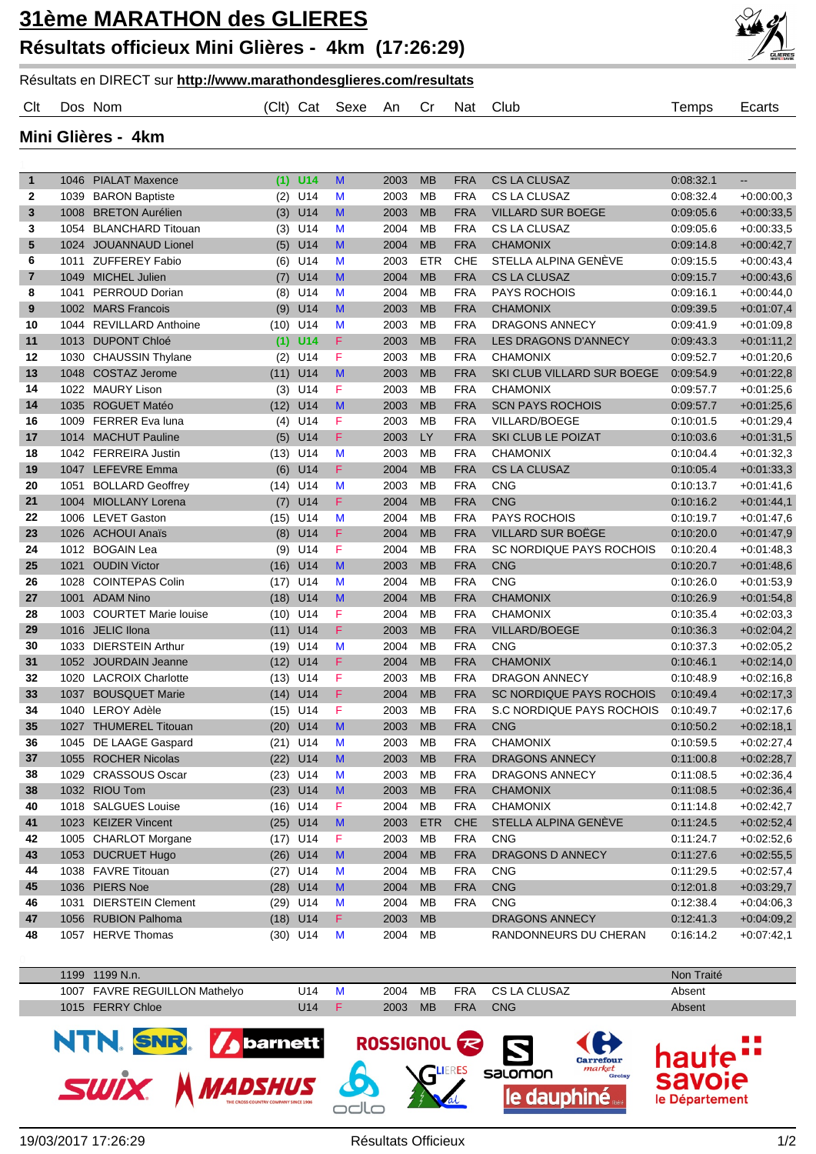## Résultats en DIRECT sur **http://www.marathondesglieres.com/resultats**

## Clt Dos Nom (Clt) Cat Sexe An Cr Nat Club Temps Ecarts

**Mini Glières - 4km**

| $\mathbf{1}$     | 1046 PIALAT Maxence       |      | $(1)$ U14  | M                  | 2003 | <b>MB</b>  | <b>FRA</b> | <b>CS LA CLUSAZ</b>             | 0.08.32.1 | $\overline{\phantom{a}}$ |
|------------------|---------------------------|------|------------|--------------------|------|------------|------------|---------------------------------|-----------|--------------------------|
| 2                | 1039 BARON Baptiste       | (2)  | U14        | M                  | 2003 | MB         | <b>FRA</b> | CS LA CLUSAZ                    | 0:08:32.4 | $+0.00:00,3$             |
| 3                | 1008 BRETON Aurélien      | (3)  | U14        | M                  | 2003 | <b>MB</b>  | <b>FRA</b> | <b>VILLARD SUR BOEGE</b>        | 0:09:05.6 | $+0.00:33,5$             |
| 3                | 1054 BLANCHARD Titouan    | (3)  | U14        | M                  | 2004 | <b>MB</b>  | <b>FRA</b> | CS LA CLUSAZ                    | 0:09:05.6 | $+0.00:33,5$             |
| 5                | 1024 JOUANNAUD Lionel     | (5)  | U14        | M                  | 2004 | <b>MB</b>  | <b>FRA</b> | <b>CHAMONIX</b>                 | 0:09:14.8 | $+0.00:42.7$             |
| 6                | 1011 ZUFFEREY Fabio       | (6)  | U14        | M                  | 2003 | <b>ETR</b> | CHE        | STELLA ALPINA GENÈVE            | 0:09:15.5 | $+0.00:43,4$             |
| 7                | 1049 MICHEL Julien        | (7)  | U14        | M                  | 2004 | <b>MB</b>  | <b>FRA</b> | <b>CS LA CLUSAZ</b>             | 0:09:15.7 | $+0.00:43,6$             |
| 8                | 1041 PERROUD Dorian       | (8)  | U14        | M                  | 2004 | <b>MB</b>  | <b>FRA</b> | <b>PAYS ROCHOIS</b>             | 0.09.16.1 | $+0.00:44,0$             |
| $\boldsymbol{9}$ | 1002 MARS Francois        | (9)  | U14        | M                  | 2003 | <b>MB</b>  | <b>FRA</b> | <b>CHAMONIX</b>                 | 0:09:39.5 | $+0.01:07,4$             |
| 10               | 1044 REVILLARD Anthoine   | (10) | U14        | M                  | 2003 | MB         | <b>FRA</b> | <b>DRAGONS ANNECY</b>           | 0:09:41.9 | $+0.01:09,8$             |
| 11               | 1013 DUPONT Chloé         | (1)  | <b>U14</b> | F                  | 2003 | <b>MB</b>  | <b>FRA</b> | LES DRAGONS D'ANNECY            | 0:09:43.3 | $+0.01:11,2$             |
| 12               | 1030 CHAUSSIN Thylane     | (2)  | U14        | F                  | 2003 | <b>MB</b>  | <b>FRA</b> | <b>CHAMONIX</b>                 | 0:09:52.7 | $+0.01:20,6$             |
| 13               | 1048 COSTAZ Jerome        | (11) | U14        | M                  | 2003 | <b>MB</b>  | <b>FRA</b> | SKI CLUB VILLARD SUR BOEGE      | 0:09:54.9 | $+0.01:22,8$             |
| 14               | 1022 MAURY Lison          | (3)  | U14        | F                  | 2003 | <b>MB</b>  | <b>FRA</b> | <b>CHAMONIX</b>                 | 0:09:57.7 | $+0.01:25,6$             |
| 14               | 1035 ROGUET Matéo         | (12) | U14        | M                  | 2003 | <b>MB</b>  | <b>FRA</b> | <b>SCN PAYS ROCHOIS</b>         | 0:09:57.7 | $+0.01:25,6$             |
| 16               | 1009 FERRER Eva luna      | (4)  | U14        | F                  | 2003 | <b>MB</b>  | <b>FRA</b> | VILLARD/BOEGE                   | 0.10:01.5 | $+0.01:29,4$             |
| 17               | 1014 MACHUT Pauline       | (5)  | U14        | F                  | 2003 | <b>LY</b>  | <b>FRA</b> | <b>SKI CLUB LE POIZAT</b>       | 0.10.03.6 | $+0.01:31,5$             |
| 18               | 1042 FERREIRA Justin      | (13) | U14        | М                  | 2003 | <b>MB</b>  | <b>FRA</b> | <b>CHAMONIX</b>                 | 0:10:04.4 | $+0.01:32,3$             |
| 19               | 1047 LEFEVRE Emma         | (6)  | U14        | F                  | 2004 | <b>MB</b>  | <b>FRA</b> | <b>CS LA CLUSAZ</b>             | 0:10:05.4 | $+0.01:33,3$             |
| 20               | 1051 BOLLARD Geoffrey     | (14) | U14        | M                  | 2003 | <b>MB</b>  | <b>FRA</b> | CNG                             | 0:10:13.7 | $+0.01:41,6$             |
| 21               | 1004 MIOLLANY Lorena      | (7)  | U14        | F                  | 2004 | <b>MB</b>  | <b>FRA</b> | <b>CNG</b>                      | 0:10:16.2 | $+0.01:44,1$             |
| 22               | 1006 LEVET Gaston         | (15) | U14        | M                  | 2004 | <b>MB</b>  | <b>FRA</b> | <b>PAYS ROCHOIS</b>             | 0:10:19.7 | $+0.01:47,6$             |
| 23               | 1026 ACHOUI Anaïs         | (8)  | U14        | F                  | 2004 | <b>MB</b>  | <b>FRA</b> | <b>VILLARD SUR BOEGE</b>        | 0:10:20.0 | $+0.01:47,9$             |
| 24               | 1012 BOGAIN Lea           | (9)  | U14        | F                  | 2004 | <b>MB</b>  | <b>FRA</b> | SC NORDIQUE PAYS ROCHOIS        | 0.10:20.4 | $+0.01:48,3$             |
| 25               | 1021 OUDIN Victor         | (16) | U14        | M                  | 2003 | <b>MB</b>  | <b>FRA</b> | <b>CNG</b>                      | 0:10:20.7 | $+0.01:48,6$             |
| 26               | 1028 COINTEPAS Colin      | (17) | U14        | M                  | 2004 | <b>MB</b>  | <b>FRA</b> | <b>CNG</b>                      | 0:10:26.0 | $+0.01:53,9$             |
| 27               | 1001 ADAM Nino            | (18) | U14        | M                  | 2004 | <b>MB</b>  | <b>FRA</b> | <b>CHAMONIX</b>                 | 0:10:26.9 | $+0.01:54,8$             |
| 28               | 1003 COURTET Marie louise | (10) | U14        | F                  | 2004 | <b>MB</b>  | <b>FRA</b> | <b>CHAMONIX</b>                 | 0.10.35.4 | $+0.02:03,3$             |
| 29               | 1016 JELIC Ilona          | (11) | U14        | F.                 | 2003 | <b>MB</b>  | <b>FRA</b> | <b>VILLARD/BOEGE</b>            | 0:10:36.3 | $+0.02:04,2$             |
| 30               | 1033 DIERSTEIN Arthur     | (19) | U14        | M                  | 2004 | <b>MB</b>  | <b>FRA</b> | <b>CNG</b>                      | 0:10:37.3 | $+0.02:05,2$             |
| 31               | 1052 JOURDAIN Jeanne      | (12) | U14        | F                  | 2004 | <b>MB</b>  | <b>FRA</b> | <b>CHAMONIX</b>                 | 0:10:46.1 | $+0.02:14,0$             |
| 32               | 1020 LACROIX Charlotte    | (13) | U14        | F                  | 2003 | <b>MB</b>  | <b>FRA</b> | <b>DRAGON ANNECY</b>            | 0.10:48.9 | $+0.02:16,8$             |
| 33               | 1037 BOUSQUET Marie       | (14) | U14        | F                  | 2004 | <b>MB</b>  | <b>FRA</b> | <b>SC NORDIQUE PAYS ROCHOIS</b> | 0.10.49.4 | $+0.02:17,3$             |
| 34               | 1040 LEROY Adèle          | (15) | U14        | F                  | 2003 | <b>MB</b>  | <b>FRA</b> | S.C NORDIQUE PAYS ROCHOIS       | 0:10:49.7 | $+0.02:17.6$             |
| 35               | 1027 THUMEREL Titouan     | (20) | U14        | M                  | 2003 | <b>MB</b>  | <b>FRA</b> | <b>CNG</b>                      | 0:10:50.2 | $+0.02:18,1$             |
| 36               | 1045 DE LAAGE Gaspard     | (21) | U14        | M                  | 2003 | <b>MB</b>  | <b>FRA</b> | CHAMONIX                        | 0:10:59.5 | $+0.02:27,4$             |
| 37               | 1055 ROCHER Nicolas       | (22) | U14        | M                  | 2003 | <b>MB</b>  | <b>FRA</b> | <b>DRAGONS ANNECY</b>           | 0:11:00.8 | $+0.02:28,7$             |
| 38               | 1029 CRASSOUS Oscar       |      | $(23)$ U14 | M                  | 2003 | MB         | <b>FRA</b> | DRAGONS ANNECY                  | 0.11:08.5 | $+0.02:36,4$             |
| 38               | 1032 RIOU Tom             |      | $(23)$ U14 | M                  | 2003 | <b>MB</b>  | <b>FRA</b> | <b>CHAMONIX</b>                 | 0:11:08.5 | $+0.02:36,4$             |
| 40               | 1018 SALGUES Louise       |      | $(16)$ U14 | F.                 | 2004 | MB         | <b>FRA</b> | <b>CHAMONIX</b>                 | 0:11:14.8 | $+0.02:42.7$             |
| 41               | 1023 KEIZER Vincent       |      | $(25)$ U14 | $\mathsf{M}% _{0}$ | 2003 | ETR        | <b>CHE</b> | STELLA ALPINA GENÈVE            | 0:11:24.5 | $+0.02:52,4$             |
| 42               | 1005 CHARLOT Morgane      |      | $(17)$ U14 | F                  | 2003 | MB         | <b>FRA</b> | <b>CNG</b>                      | 0:11:24.7 | $+0.02:52,6$             |
| 43               | 1053 DUCRUET Hugo         |      | $(26)$ U14 | M                  | 2004 | <b>MB</b>  | <b>FRA</b> | DRAGONS D ANNECY                | 0:11:27.6 | $+0.02:55,5$             |
| 44               | 1038 FAVRE Titouan        |      | $(27)$ U14 | M                  | 2004 | MB         | <b>FRA</b> | <b>CNG</b>                      | 0:11:29.5 | $+0.02:57,4$             |
| 45               | 1036 PIERS Noe            |      | $(28)$ U14 | M                  | 2004 | <b>MB</b>  | <b>FRA</b> | CNG                             | 0:12:01.8 | $+0.03:29,7$             |
| 46               | 1031 DIERSTEIN Clement    |      | $(29)$ U14 | M                  | 2004 | MB         | <b>FRA</b> | <b>CNG</b>                      | 0:12:38.4 | $+0.04:06,3$             |
| 47               | 1056 RUBION Palhoma       |      | $(18)$ U14 | F                  | 2003 | <b>MB</b>  |            | DRAGONS ANNECY                  | 0:12:41.3 | $+0.04:09,2$             |
| 48               | 1057 HERVE Thomas         |      | $(30)$ U14 | M                  | 2004 | МB         |            | RANDONNEURS DU CHERAN           | 0:16:14.2 | $+0.07:42,1$             |

| 1199 | 1199 N.n.                           |     |   |                    |           |            |                                            | Non Traité                                     |
|------|-------------------------------------|-----|---|--------------------|-----------|------------|--------------------------------------------|------------------------------------------------|
|      | 1007 FAVRE REGUILLON Mathelyo       | U14 | M | 2004               | MB        | <b>FRA</b> | CS LA CLUSAZ                               | Absent                                         |
|      | 1015 FERRY Chloe                    | U14 | F | 2003               | <b>MB</b> | <b>FRA</b> | <b>CNG</b>                                 | Absent                                         |
|      | NTN. SNR. 1<br>barnett <sup>®</sup> |     |   | ROSSIGNOL <b>R</b> |           |            | B<br><b>Carrefour</b>                      | $\mathcal{M}(\mathbb{R}^d)$                    |
|      | MADSHUS                             |     |   |                    |           |            | market<br>salomon<br>Groisy<br>Le dauphiné | haute <sup>"</sup><br>savoie<br>le Département |

odlo